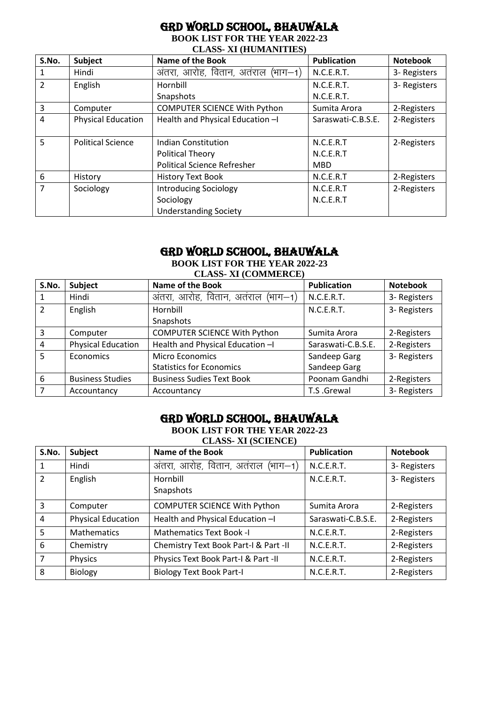# GRD WORLD SCHOOL, BHAUWALA

**BOOK LIST FOR THE YEAR 2022-23 CLASS- XI (HUMANITIES)**

| S.No.          | Subject                   | Name of the Book                    | <b>Publication</b> | <b>Notebook</b> |
|----------------|---------------------------|-------------------------------------|--------------------|-----------------|
| 1              | Hindi                     | अंतरा, आरोह, वितान, अतंराल (भाग—1)  | N.C.E.R.T.         | 3- Registers    |
| $\overline{2}$ | English                   | Hornbill                            | N.C.E.R.T.         | 3- Registers    |
|                |                           | Snapshots                           | N.C.E.R.T.         |                 |
| 3              | Computer                  | <b>COMPUTER SCIENCE With Python</b> | Sumita Arora       | 2-Registers     |
| 4              | <b>Physical Education</b> | Health and Physical Education -I    | Saraswati-C.B.S.E. | 2-Registers     |
| 5              | <b>Political Science</b>  | <b>Indian Constitution</b>          | N.C.E.R.T          | 2-Registers     |
|                |                           | <b>Political Theory</b>             | N.C.E.R.T          |                 |
|                |                           | <b>Political Science Refresher</b>  | MBD                |                 |
| 6              | History                   | <b>History Text Book</b>            | N.C.E.R.T          | 2-Registers     |
| 7              | Sociology                 | <b>Introducing Sociology</b>        | N.C.E.R.T          | 2-Registers     |
|                |                           | Sociology                           | N.C.E.R.T          |                 |
|                |                           | <b>Understanding Society</b>        |                    |                 |

### GRD WORLD SCHOOL, BHAUWALA

**BOOK LIST FOR THE YEAR 2022-23 CLASS- XI (COMMERCE)**

| S.No.          | <b>Subject</b>            | <b>Name of the Book</b>               | <b>Publication</b> | <b>Notebook</b> |
|----------------|---------------------------|---------------------------------------|--------------------|-----------------|
| -1             | Hindi                     | अंतरा, आरोह, वितान, अतंराल<br>(भाग—1) | N.C.E.R.T.         | 3- Registers    |
| $\overline{2}$ | English                   | Hornbill                              | N.C.E.R.T.         | 3- Registers    |
|                |                           | Snapshots                             |                    |                 |
| $\overline{3}$ | Computer                  | <b>COMPUTER SCIENCE With Python</b>   | Sumita Arora       | 2-Registers     |
| $\overline{4}$ | <b>Physical Education</b> | Health and Physical Education -I      | Saraswati-C.B.S.E. | 2-Registers     |
| 5              | Economics                 | <b>Micro Economics</b>                | Sandeep Garg       | 3- Registers    |
|                |                           | <b>Statistics for Economics</b>       | Sandeep Garg       |                 |
| 6              | <b>Business Studies</b>   | <b>Business Sudies Text Book</b>      | Poonam Gandhi      | 2-Registers     |
|                | Accountancy               | Accountancy                           | T.S.Grewal         | 3- Registers    |

### GRD WORLD SCHOOL, BHAUWALA

**BOOK LIST FOR THE YEAR 2022-23 CLASS- XI (SCIENCE)**

| S.No.          | <b>Subject</b>            | <b>Name of the Book</b>               | <b>Publication</b> | <b>Notebook</b> |
|----------------|---------------------------|---------------------------------------|--------------------|-----------------|
|                | Hindi                     | अंतरा, आरोह, वितान, अतंराल (भाग-1)    | N.C.E.R.T.         | 3- Registers    |
| $\overline{2}$ | English                   | Hornbill                              | N.C.E.R.T.         | 3- Registers    |
|                |                           | Snapshots                             |                    |                 |
| $\overline{3}$ | Computer                  | COMPUTER SCIENCE With Python          | Sumita Arora       | 2-Registers     |
| $\overline{4}$ | <b>Physical Education</b> | Health and Physical Education -I      | Saraswati-C.B.S.E. | 2-Registers     |
| $\overline{5}$ | Mathematics               | Mathematics Text Book -I              | N.C.E.R.T.         | 2-Registers     |
| 6              | Chemistry                 | Chemistry Text Book Part-I & Part -II | N.C.E.R.T.         | 2-Registers     |
| $\overline{7}$ | Physics                   | Physics Text Book Part-I & Part -II   | N.C.E.R.T.         | 2-Registers     |
| 8              | Biology                   | <b>Biology Text Book Part-I</b>       | N.C.E.R.T.         | 2-Registers     |